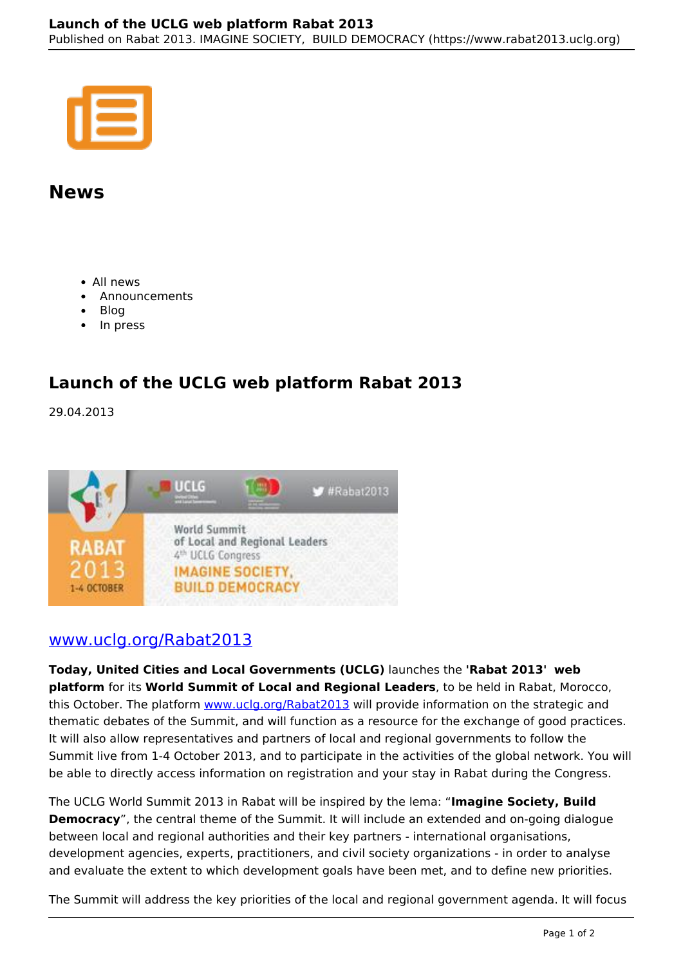## **News**

- All news
- Announcements
- Blog
- In press

## **Launch of the UCLG web platform Rabat 2013**

29.04.2013



## www.uclg.org/Rabat2013

**Today, United Cities and Local Governments (UCLG)** launches the **'Rabat 2013' web platform** for its **World Summit of Local and Regional Leaders**, to be held in Rabat, Morocco, this October. The platform www.uclg.org/Rabat2013 will provide information on the strategic and thematic debates of the Summit, and will function as a resource for the exchange of good practices. It will also allow representatives and partners of local and regional governments to follow the Summit live from 1-4 October 2013, and to participate in the activities of the global network. You will be able to directly access information on registration and your stay in Rabat during the Congress.

The UCLG World Summit 2013 in Rabat will be inspired by the lema: "**Imagine Society, Build Democracy**", the central theme of the Summit. It will include an extended and on-going dialogue between local and regional authorities and their key partners - international organisations, development agencies, experts, practitioners, and civil society organizations - in order to analyse and evaluate the extent to which development goals have been met, and to define new priorities.

The Summit will address the key priorities of the local and regional government agenda. It will focus